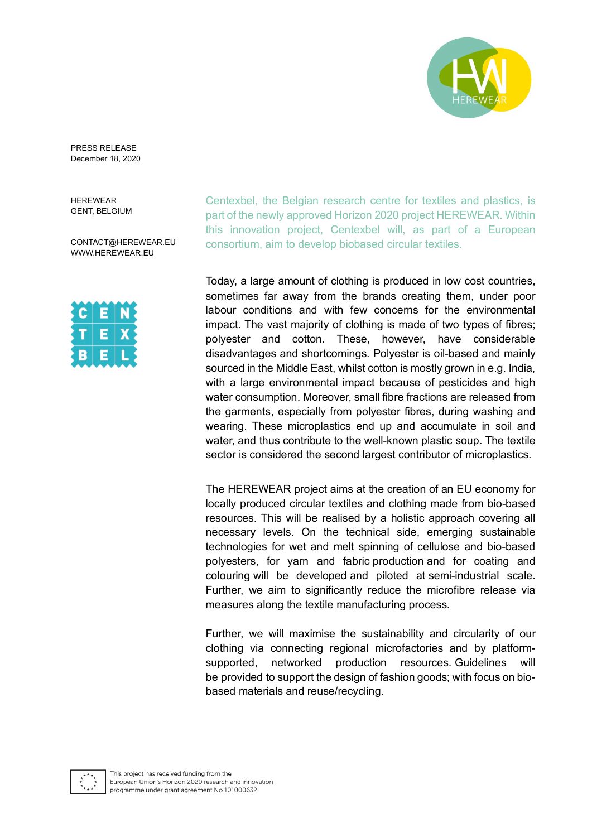

PRESS RELEASE December 18, 2020

HEREWEAR GENT, BELGIUM

CONTACT@HEREWEAR.EU [WWW.HEREWEAR.EU](http://www.herewear.eu/)

Centexbel, the Belgian research centre for textiles and plastics, is part of the newly approved Horizon 2020 project HEREWEAR. Within this innovation project, Centexbel will, as part of a European consortium, aim to develop biobased circular textiles.

Today, a large amount of clothing is produced in low cost countries, sometimes far away from the brands creating them, under poor labour conditions and with few concerns for the environmental impact. The vast majority of clothing is made of two types of fibres; polyester and cotton. These, however, have considerable disadvantages and shortcomings. Polyester is oil-based and mainly sourced in the Middle East, whilst cotton is mostly grown in e.g. India, with a large environmental impact because of pesticides and high water consumption. Moreover, small fibre fractions are released from the garments, especially from polyester fibres, during washing and wearing. These microplastics end up and accumulate in soil and water, and thus contribute to the well-known plastic soup. The textile sector is considered the second largest contributor of microplastics.

The HEREWEAR project aims at the creation of an EU economy for locally produced circular textiles and clothing made from bio-based resources. This will be realised by a holistic approach covering all necessary levels. On the technical side, emerging sustainable technologies for wet and melt spinning of cellulose and bio-based polyesters, for yarn and fabric production and for coating and colouring will be developed and piloted at semi-industrial scale. Further, we aim to significantly reduce the microfibre release via measures along the textile manufacturing process.

Further, we will maximise the sustainability and circularity of our clothing via connecting regional microfactories and by platformsupported, networked production resources. Guidelines will be provided to support the design of fashion goods; with focus on biobased materials and reuse/recycling.